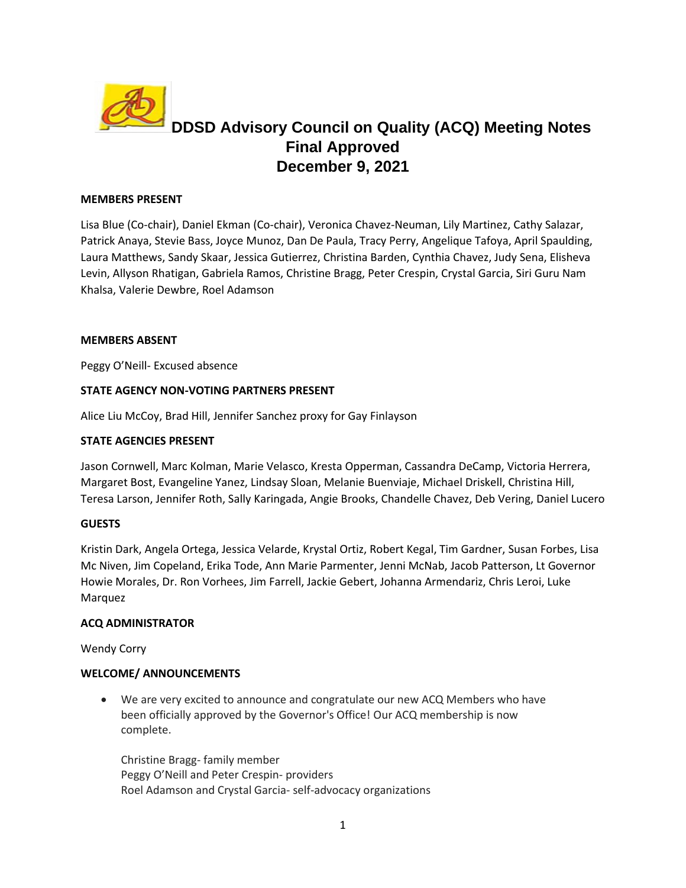

# **DDSD Advisory Council on Quality (ACQ) Meeting Notes Final Approved December 9, 2021**

#### **MEMBERS PRESENT**

Lisa Blue (Co-chair), Daniel Ekman (Co-chair), Veronica Chavez-Neuman, Lily Martinez, Cathy Salazar, Patrick Anaya, Stevie Bass, Joyce Munoz, Dan De Paula, Tracy Perry, Angelique Tafoya, April Spaulding, Laura Matthews, Sandy Skaar, Jessica Gutierrez, Christina Barden, Cynthia Chavez, Judy Sena, Elisheva Levin, Allyson Rhatigan, Gabriela Ramos, Christine Bragg, Peter Crespin, Crystal Garcia, Siri Guru Nam Khalsa, Valerie Dewbre, Roel Adamson

#### **MEMBERS ABSENT**

Peggy O'Neill- Excused absence

## **STATE AGENCY NON-VOTING PARTNERS PRESENT**

Alice Liu McCoy, Brad Hill, Jennifer Sanchez proxy for Gay Finlayson

#### **STATE AGENCIES PRESENT**

Jason Cornwell, Marc Kolman, Marie Velasco, Kresta Opperman, Cassandra DeCamp, Victoria Herrera, Margaret Bost, Evangeline Yanez, Lindsay Sloan, Melanie Buenviaje, Michael Driskell, Christina Hill, Teresa Larson, Jennifer Roth, Sally Karingada, Angie Brooks, Chandelle Chavez, Deb Vering, Daniel Lucero

#### **GUESTS**

Kristin Dark, Angela Ortega, Jessica Velarde, Krystal Ortiz, Robert Kegal, Tim Gardner, Susan Forbes, Lisa Mc Niven, Jim Copeland, Erika Tode, Ann Marie Parmenter, Jenni McNab, Jacob Patterson, Lt Governor Howie Morales, Dr. Ron Vorhees, Jim Farrell, Jackie Gebert, Johanna Armendariz, Chris Leroi, Luke Marquez

#### **ACQ ADMINISTRATOR**

Wendy Corry

#### **WELCOME/ ANNOUNCEMENTS**

• We are very excited to announce and congratulate our new ACQ Members who have been officially approved by the Governor's Office! Our ACQ membership is now complete.

Christine Bragg- family member Peggy O'Neill and Peter Crespin- providers Roel Adamson and Crystal Garcia- self-advocacy organizations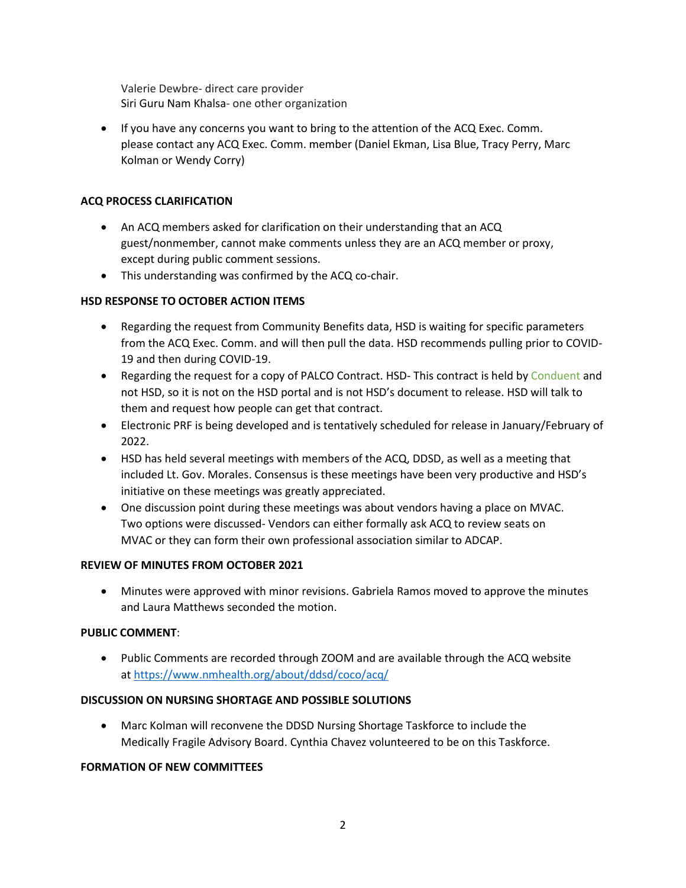Valerie Dewbre- direct care provider Siri Guru Nam Khalsa- one other organization

• If you have any concerns you want to bring to the attention of the ACQ Exec. Comm. please contact any ACQ Exec. Comm. member (Daniel Ekman, Lisa Blue, Tracy Perry, Marc Kolman or Wendy Corry)

## **ACQ PROCESS CLARIFICATION**

- An ACQ members asked for clarification on their understanding that an ACQ guest/nonmember, cannot make comments unless they are an ACQ member or proxy, except during public comment sessions.
- This understanding was confirmed by the ACQ co-chair.

## **HSD RESPONSE TO OCTOBER ACTION ITEMS**

- Regarding the request from Community Benefits data, HSD is waiting for specific parameters from the ACQ Exec. Comm. and will then pull the data. HSD recommends pulling prior to COVID-19 and then during COVID-19.
- Regarding the request for a copy of PALCO Contract. HSD-This contract is held by Conduent and not HSD, so it is not on the HSD portal and is not HSD's document to release. HSD will talk to them and request how people can get that contract.
- Electronic PRF is being developed and is tentatively scheduled for release in January/February of 2022.
- HSD has held several meetings with members of the ACQ, DDSD, as well as a meeting that included Lt. Gov. Morales. Consensus is these meetings have been very productive and HSD's initiative on these meetings was greatly appreciated.
- One discussion point during these meetings was about vendors having a place on MVAC. Two options were discussed- Vendors can either formally ask ACQ to review seats on MVAC or they can form their own professional association similar to ADCAP.

## **REVIEW OF MINUTES FROM OCTOBER 2021**

• Minutes were approved with minor revisions. Gabriela Ramos moved to approve the minutes and Laura Matthews seconded the motion.

## **PUBLIC COMMENT**:

• Public Comments are recorded through ZOOM and are available through the ACQ website at https://www.nmhealth.org/about/ddsd/coco/acq/

## **DISCUSSION ON NURSING SHORTAGE AND POSSIBLE SOLUTIONS**

• Marc Kolman will reconvene the DDSD Nursing Shortage Taskforce to include the Medically Fragile Advisory Board. Cynthia Chavez volunteered to be on this Taskforce.

## **FORMATION OF NEW COMMITTEES**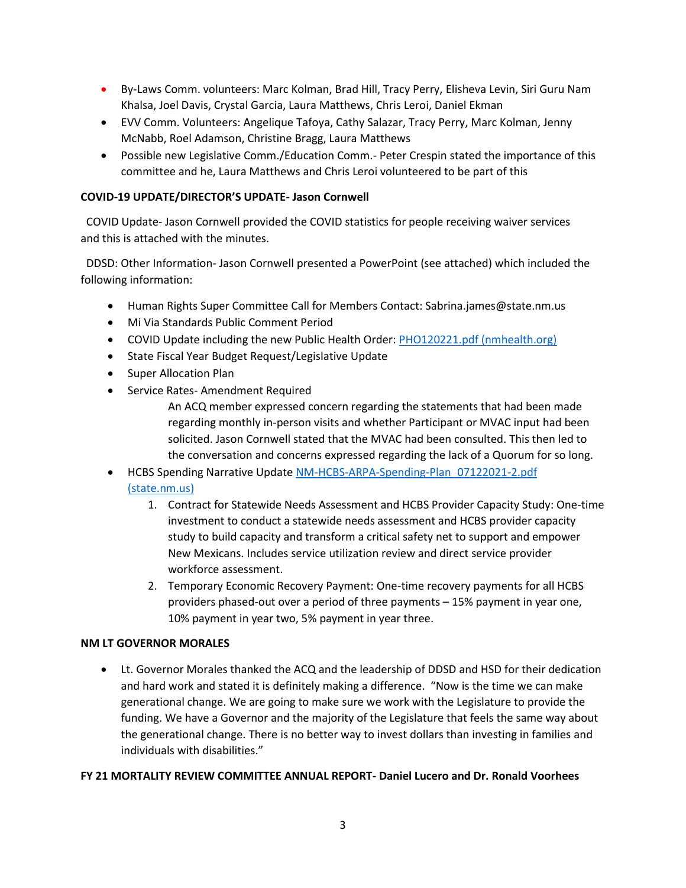- By-Laws Comm. volunteers: Marc Kolman, Brad Hill, Tracy Perry, Elisheva Levin, Siri Guru Nam Khalsa, Joel Davis, Crystal Garcia, Laura Matthews, Chris Leroi, Daniel Ekman
- EVV Comm. Volunteers: Angelique Tafoya, Cathy Salazar, Tracy Perry, Marc Kolman, Jenny McNabb, Roel Adamson, Christine Bragg, Laura Matthews
- Possible new Legislative Comm./Education Comm.- Peter Crespin stated the importance of this committee and he, Laura Matthews and Chris Leroi volunteered to be part of this

## **COVID-19 UPDATE/DIRECTOR'S UPDATE- Jason Cornwell**

 COVID Update- Jason Cornwell provided the COVID statistics for people receiving waiver services and this is attached with the minutes.

DDSD: Other Information- Jason Cornwell presented a PowerPoint (see attached) which included the following information:

- Human Rights Super Committee Call for Members Contact: Sabrina.james@state.nm.us
- Mi Via Standards Public Comment Period
- COVID Update including the new Public Health Order: [PHO120221.pdf \(nmhealth.org\)](https://cv.nmhealth.org/wp-content/uploads/2021/12/PHO120221.pdf)
- State Fiscal Year Budget Request/Legislative Update
- Super Allocation Plan
- Service Rates- Amendment Required

An ACQ member expressed concern regarding the statements that had been made regarding monthly in-person visits and whether Participant or MVAC input had been solicited. Jason Cornwell stated that the MVAC had been consulted. This then led to the conversation and concerns expressed regarding the lack of a Quorum for so long.

# • HCBS Spending Narrative Update [NM-HCBS-ARPA-Spending-Plan\\_07122021-2.pdf](https://www.hsd.state.nm.us/wp-content/uploads/NM-HCBS-ARPA-Spending-Plan_07122021-2.pdf)  [\(state.nm.us\)](https://www.hsd.state.nm.us/wp-content/uploads/NM-HCBS-ARPA-Spending-Plan_07122021-2.pdf)

- 1. Contract for Statewide Needs Assessment and HCBS Provider Capacity Study: One-time investment to conduct a statewide needs assessment and HCBS provider capacity study to build capacity and transform a critical safety net to support and empower New Mexicans. Includes service utilization review and direct service provider workforce assessment.
- 2. Temporary Economic Recovery Payment: One-time recovery payments for all HCBS providers phased-out over a period of three payments – 15% payment in year one, 10% payment in year two, 5% payment in year three.

# **NM LT GOVERNOR MORALES**

• Lt. Governor Morales thanked the ACQ and the leadership of DDSD and HSD for their dedication and hard work and stated it is definitely making a difference. "Now is the time we can make generational change. We are going to make sure we work with the Legislature to provide the funding. We have a Governor and the majority of the Legislature that feels the same way about the generational change. There is no better way to invest dollars than investing in families and individuals with disabilities."

## **FY 21 MORTALITY REVIEW COMMITTEE ANNUAL REPORT- Daniel Lucero and Dr. Ronald Voorhees**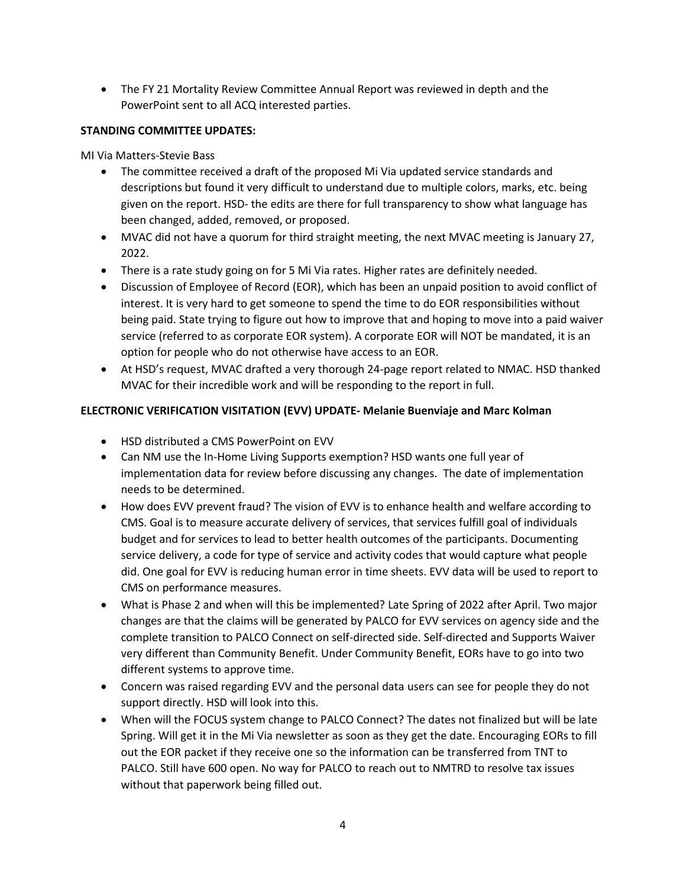• The FY 21 Mortality Review Committee Annual Report was reviewed in depth and the PowerPoint sent to all ACQ interested parties.

## **STANDING COMMITTEE UPDATES:**

MI Via Matters-Stevie Bass

- The committee received a draft of the proposed Mi Via updated service standards and descriptions but found it very difficult to understand due to multiple colors, marks, etc. being given on the report. HSD- the edits are there for full transparency to show what language has been changed, added, removed, or proposed.
- MVAC did not have a quorum for third straight meeting, the next MVAC meeting is January 27, 2022.
- There is a rate study going on for 5 Mi Via rates. Higher rates are definitely needed.
- Discussion of Employee of Record (EOR), which has been an unpaid position to avoid conflict of interest. It is very hard to get someone to spend the time to do EOR responsibilities without being paid. State trying to figure out how to improve that and hoping to move into a paid waiver service (referred to as corporate EOR system). A corporate EOR will NOT be mandated, it is an option for people who do not otherwise have access to an EOR.
- At HSD's request, MVAC drafted a very thorough 24-page report related to NMAC. HSD thanked MVAC for their incredible work and will be responding to the report in full.

# **ELECTRONIC VERIFICATION VISITATION (EVV) UPDATE- Melanie Buenviaje and Marc Kolman**

- HSD distributed a CMS PowerPoint on EVV
- Can NM use the In-Home Living Supports exemption? HSD wants one full year of implementation data for review before discussing any changes. The date of implementation needs to be determined.
- How does EVV prevent fraud? The vision of EVV is to enhance health and welfare according to CMS. Goal is to measure accurate delivery of services, that services fulfill goal of individuals budget and for services to lead to better health outcomes of the participants. Documenting service delivery, a code for type of service and activity codes that would capture what people did. One goal for EVV is reducing human error in time sheets. EVV data will be used to report to CMS on performance measures.
- What is Phase 2 and when will this be implemented? Late Spring of 2022 after April. Two major changes are that the claims will be generated by PALCO for EVV services on agency side and the complete transition to PALCO Connect on self-directed side. Self-directed and Supports Waiver very different than Community Benefit. Under Community Benefit, EORs have to go into two different systems to approve time.
- Concern was raised regarding EVV and the personal data users can see for people they do not support directly. HSD will look into this.
- When will the FOCUS system change to PALCO Connect? The dates not finalized but will be late Spring. Will get it in the Mi Via newsletter as soon as they get the date. Encouraging EORs to fill out the EOR packet if they receive one so the information can be transferred from TNT to PALCO. Still have 600 open. No way for PALCO to reach out to NMTRD to resolve tax issues without that paperwork being filled out.